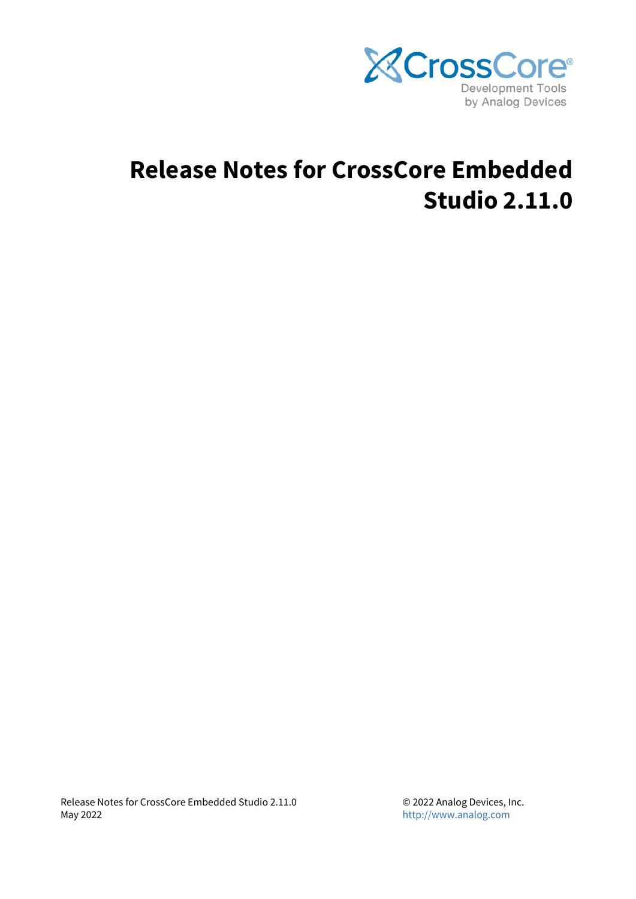

# **Release Notes for CrossCore Embedded Studio 2.11.0**

Release Notes for CrossCore Embedded Studio 2.11.0 May 2022

© 2022 Analog Devices, Inc. <http://www.analog.com>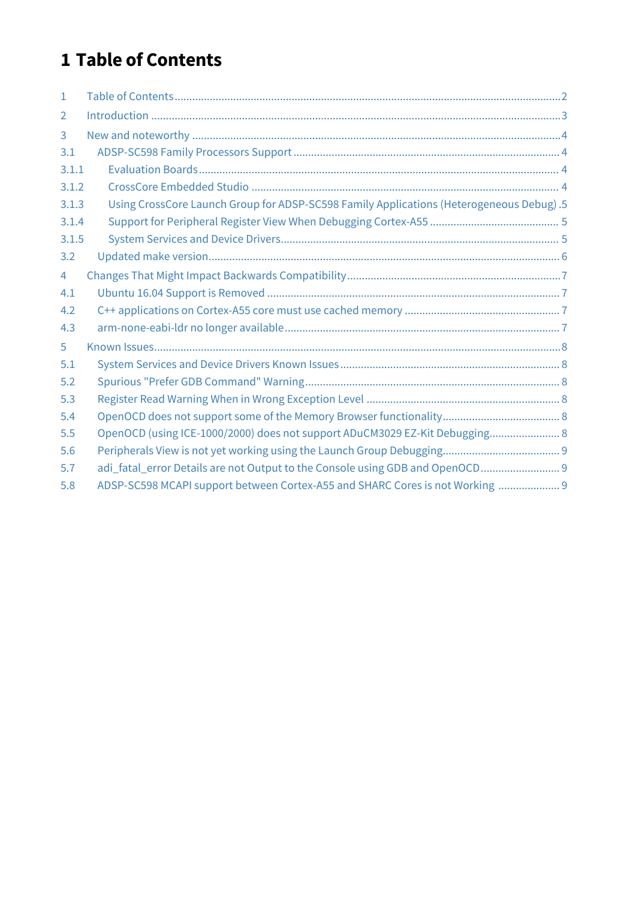## <span id="page-1-0"></span>**1 Table of Contents**

| $\mathbf{1}$   |                                                                                          |  |
|----------------|------------------------------------------------------------------------------------------|--|
| 2              |                                                                                          |  |
| 3              |                                                                                          |  |
| 3.1            |                                                                                          |  |
| 3.1.1          |                                                                                          |  |
| 3.1.2          |                                                                                          |  |
| 3.1.3          | Using CrossCore Launch Group for ADSP-SC598 Family Applications (Heterogeneous Debug) .5 |  |
| 3.1.4          |                                                                                          |  |
| 3.1.5          |                                                                                          |  |
| 3.2            |                                                                                          |  |
| $\overline{4}$ |                                                                                          |  |
| 4.1            |                                                                                          |  |
| 4.2            |                                                                                          |  |
| 4.3            |                                                                                          |  |
| 5              |                                                                                          |  |
| 5.1            |                                                                                          |  |
| 5.2            |                                                                                          |  |
| 5.3            |                                                                                          |  |
| 5.4            |                                                                                          |  |
| 5.5            | OpenOCD (using ICE-1000/2000) does not support ADuCM3029 EZ-Kit Debugging 8              |  |
| 5.6            |                                                                                          |  |
| 5.7            | adi_fatal_error Details are not Output to the Console using GDB and OpenOCD 9            |  |
| 5.8            | ADSP-SC598 MCAPI support between Cortex-A55 and SHARC Cores is not Working  9            |  |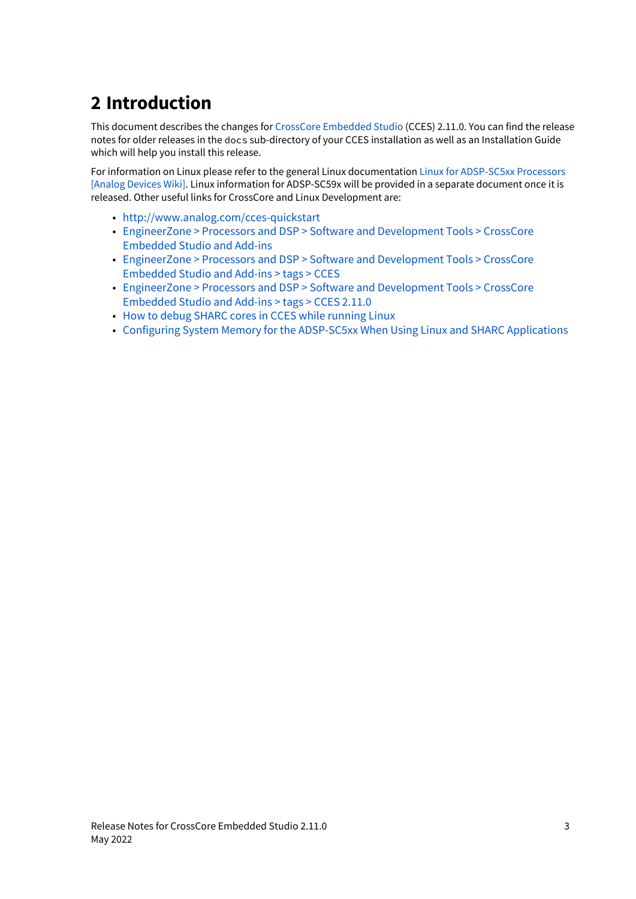## <span id="page-2-0"></span>**2 Introduction**

This document describes the changes for [CrossCore Embedded Studio](https://www.analog.com/cces) (CCES) 2.11.0. You can find the release notes for older releases in the docs sub-directory of your CCES installation as well as an Installation Guide which will help you install this release.

For information on Linux please refer to the general Linux documentation [Linux for ADSP-SC5xx Processors](https://wiki.analog.com/resources/tools-software/linuxdsp)  [\[Analog Devices Wiki\].](https://wiki.analog.com/resources/tools-software/linuxdsp) Linux information for ADSP-SC59x will be provided in a separate document once it is released. Other useful links for CrossCore and Linux Development are:

- <http://www.analog.com/cces-quickstart>
- [EngineerZone > Processors and DSP > Software and Development Tools > CrossCore](https://ez.analog.com/dsp/software-and-development-tools/cces/)  [Embedded Studio and Add-ins](https://ez.analog.com/dsp/software-and-development-tools/cces/)
- [EngineerZone > Processors and DSP > Software and Development Tools > CrossCore](https://ez.analog.com/dsp/software-and-development-tools/cces/tags/CCES)  [Embedded Studio and Add-ins > tags > CCES](https://ez.analog.com/dsp/software-and-development-tools/cces/tags/CCES)
- [EngineerZone > Processors and DSP > Software and Development Tools > CrossCore](https://ez.analog.com/dsp/software-and-development-tools/cces/tags/CCES%2b2-11-0)  [Embedded Studio and Add-ins > tags > CCES 2.11.0](https://ez.analog.com/dsp/software-and-development-tools/cces/tags/CCES%2b2-11-0)
- [How to debug SHARC cores in CCES while running Linux](https://wiki.analog.com/resources/tools-software/linuxdsp/docs/qa/how_to_debug_sharc_cores_while_running_linux)
- [Configuring System Memory for the ADSP-SC5xx When Using Linux and SHARC Applications](https://wiki.analog.com/resources/tools-software/linuxdsp/docs/configuring-memory?rev=1631008191)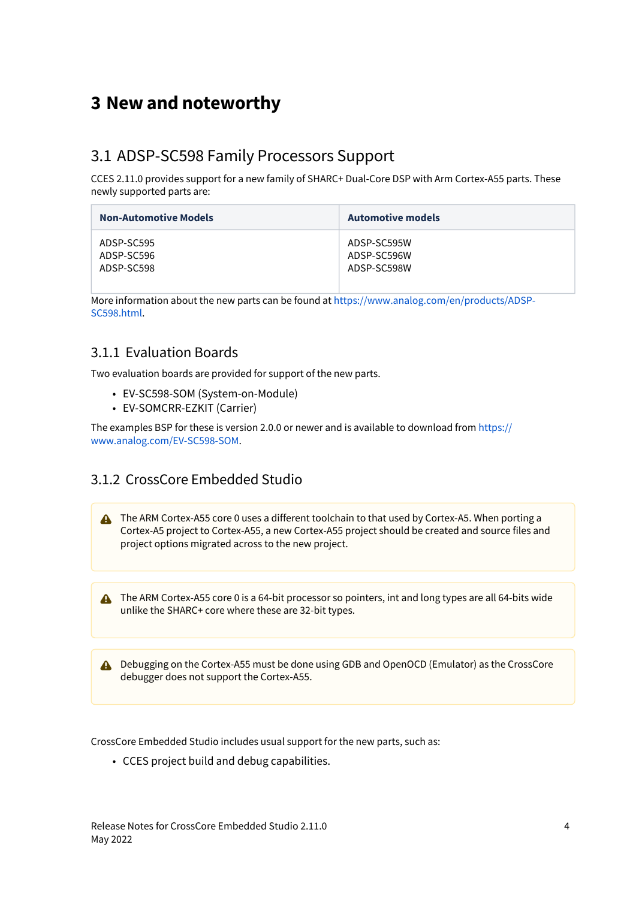## <span id="page-3-0"></span>**3 New and noteworthy**

#### <span id="page-3-1"></span>3.1 ADSP-SC598 Family Processors Support

CCES 2.11.0 provides support for a new family of SHARC+ Dual-Core DSP with Arm Cortex-A55 parts. These newly supported parts are:

| <b>Non-Automotive Models</b> | <b>Automotive models</b> |
|------------------------------|--------------------------|
| ADSP-SC595                   | ADSP-SC595W              |
| ADSP-SC596                   | ADSP-SC596W              |
| ADSP-SC598                   | ADSP-SC598W              |

More information about the new parts can be found at [https://www.analog.com/en/products/ADSP-](https://www.analog.com/en/products/ADSP-SC598.html)[SC598.html](https://www.analog.com/en/products/ADSP-SC598.html).

#### <span id="page-3-2"></span>3.1.1 Evaluation Boards

Two evaluation boards are provided for support of the new parts.

- EV-SC598-SOM (System-on-Module)
- EV-SOMCRR-EZKIT (Carrier)

The examples BSP for these is version 2.0.0 or newer and is available to download from [https://](https://www.analog.com/EV-SC598-SOM) [www.analog.com/EV-SC598-SOM.](https://www.analog.com/EV-SC598-SOM)

#### <span id="page-3-3"></span>3.1.2 CrossCore Embedded Studio

**A** The ARM Cortex-A55 core 0 uses a different toolchain to that used by Cortex-A5. When porting a Cortex-A5 project to Cortex-A55, a new Cortex-A55 project should be created and source files and project options migrated across to the new project.

**A** The ARM Cortex-A55 core 0 is a 64-bit processor so pointers, int and long types are all 64-bits wide unlike the SHARC+ core where these are 32-bit types.

A Debugging on the Cortex-A55 must be done using GDB and OpenOCD (Emulator) as the CrossCore debugger does not support the Cortex-A55.

CrossCore Embedded Studio includes usual support for the new parts, such as:

• CCES project build and debug capabilities.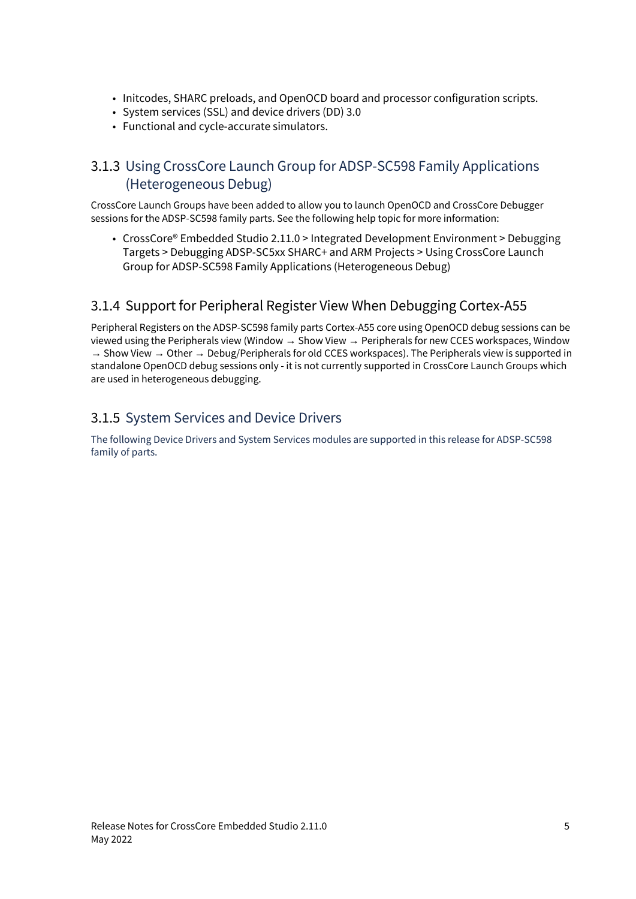- Initcodes, SHARC preloads, and OpenOCD board and processor configuration scripts.
- System services (SSL) and device drivers (DD) 3.0
- Functional and cycle-accurate simulators.

#### <span id="page-4-0"></span>3.1.3 Using CrossCore Launch Group for ADSP-SC598 Family Applications (Heterogeneous Debug)

CrossCore Launch Groups have been added to allow you to launch OpenOCD and CrossCore Debugger sessions for the ADSP-SC598 family parts. See the following help topic for more information:

• CrossCore® Embedded Studio 2.11.0 > Integrated Development Environment > Debugging Targets > Debugging ADSP-SC5xx SHARC+ and ARM Projects > Using CrossCore Launch Group for ADSP-SC598 Family Applications (Heterogeneous Debug)

#### <span id="page-4-1"></span>3.1.4 Support for Peripheral Register View When Debugging Cortex-A55

Peripheral Registers on the ADSP-SC598 family parts Cortex-A55 core using OpenOCD debug sessions can be viewed using the Peripherals view (Window → Show View → Peripherals for new CCES workspaces, Window → Show View → Other → Debug/Peripherals for old CCES workspaces). The Peripherals view is supported in standalone OpenOCD debug sessions only - it is not currently supported in CrossCore Launch Groups which are used in heterogeneous debugging.

#### <span id="page-4-2"></span>3.1.5 System Services and Device Drivers

The following Device Drivers and System Services modules are supported in this release for ADSP-SC598 family of parts.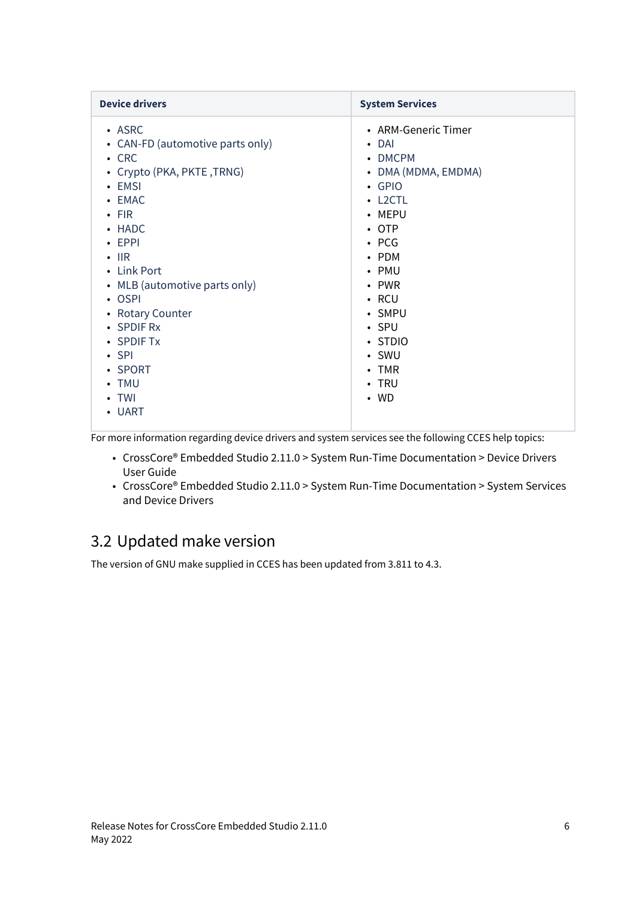| <b>Device drivers</b>                                                                                                                                                                                                                                                                                                                                       | <b>System Services</b>                                                                                                                                                                                                                                                                       |
|-------------------------------------------------------------------------------------------------------------------------------------------------------------------------------------------------------------------------------------------------------------------------------------------------------------------------------------------------------------|----------------------------------------------------------------------------------------------------------------------------------------------------------------------------------------------------------------------------------------------------------------------------------------------|
| $\cdot$ ASRC<br>• CAN-FD (automotive parts only)<br>$\cdot$ CRC<br>• Crypto (PKA, PKTE, TRNG)<br>$\cdot$ EMSI<br>• EMAC<br>$\cdot$ FIR<br>• HADC<br>$\cdot$ EPPI<br>$\cdot$ IIR<br>• Link Port<br>• MLB (automotive parts only)<br>$\cdot$ OSPI<br>• Rotary Counter<br>• SPDIF Rx<br>• SPDIF Tx<br>$\cdot$ SPI<br>• SPORT<br>• TMU<br>$\cdot$ TWI<br>• UART | • ARM-Generic Timer<br>$\cdot$ DAI<br>• DMCPM<br>• DMA (MDMA, EMDMA)<br>$\cdot$ GPIO<br>$\cdot$ L2CTL<br>• MEPU<br>$\cdot$ OTP<br>$\cdot$ PCG<br>$\cdot$ PDM<br>• PMU<br>$\cdot$ PWR<br>$\cdot$ RCU<br>• SMPU<br>$\cdot$ SPU<br>• STDIO<br>• SWU<br>$\cdot$ TMR<br>$\cdot$ TRU<br>$\cdot$ WD |
|                                                                                                                                                                                                                                                                                                                                                             |                                                                                                                                                                                                                                                                                              |

For more information regarding device drivers and system services see the following CCES help topics:

- CrossCore® Embedded Studio 2.11.0 > System Run-Time Documentation > Device Drivers User Guide
- CrossCore® Embedded Studio 2.11.0 > System Run-Time Documentation > System Services and Device Drivers

## <span id="page-5-0"></span>3.2 Updated make version

The version of GNU make supplied in CCES has been updated from 3.811 to 4.3.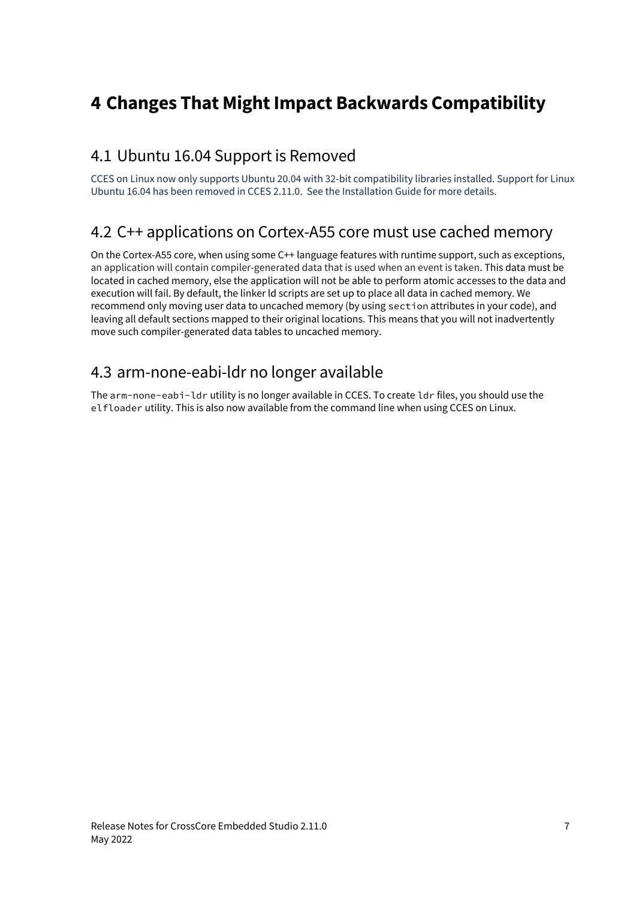## <span id="page-6-0"></span>**4 Changes That Might Impact Backwards Compatibility**

#### <span id="page-6-1"></span>4.1 Ubuntu 16.04 Support is Removed

CCES on Linux now only supports Ubuntu 20.04 with 32-bit compatibility libraries installed. Support for Linux Ubuntu 16.04 has been removed in CCES 2.11.0. See the Installation Guide for more details.

#### <span id="page-6-2"></span>4.2 C++ applications on Cortex-A55 core must use cached memory

On the Cortex-A55 core, when using some C++ language features with runtime support, such as exceptions, an application will contain compiler-generated data that is used when an event is taken. This data must be located in cached memory, else the application will not be able to perform atomic accesses to the data and execution will fail. By default, the linker ld scripts are set up to place all data in cached memory. We recommend only moving user data to uncached memory (by using section attributes in your code), and leaving all default sections mapped to their original locations. This means that you will not inadvertently move such compiler-generated data tables to uncached memory.

#### <span id="page-6-3"></span>4.3 arm-none-eabi-ldr no longer available

The arm-none-eabi-ldr utility is no longer available in CCES. To create ldr files, you should use the elfloader utility. This is also now available from the command line when using CCES on Linux.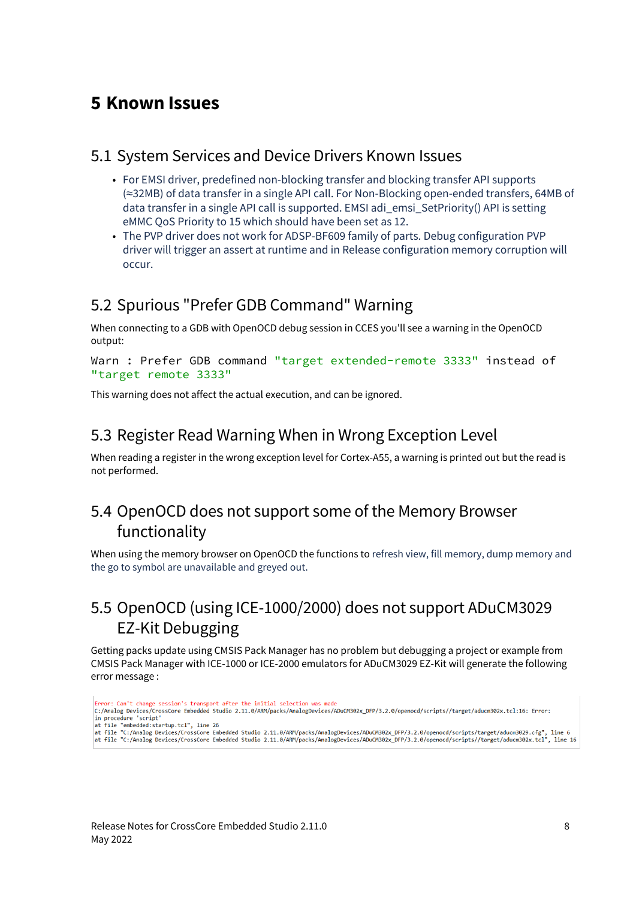### <span id="page-7-0"></span>**5 Known Issues**

#### <span id="page-7-1"></span>5.1 System Services and Device Drivers Known Issues

- For EMSI driver, predefined non-blocking transfer and blocking transfer API supports (≈32MB) of data transfer in a single API call. For Non-Blocking open-ended transfers, 64MB of data transfer in a single API call is supported. EMSI adi\_emsi\_SetPriority() API is setting eMMC QoS Priority to 15 which should have been set as 12.
- The PVP driver does not work for ADSP-BF609 family of parts. Debug configuration PVP driver will trigger an assert at runtime and in Release configuration memory corruption will occur.

#### <span id="page-7-2"></span>5.2 Spurious "Prefer GDB Command" Warning

When connecting to a GDB with OpenOCD debug session in CCES you'll see a warning in the OpenOCD output:

Warn : Prefer GDB command "target extended-remote 3333" instead of "target remote 3333"

This warning does not affect the actual execution, and can be ignored.

#### <span id="page-7-3"></span>5.3 Register Read Warning When in Wrong Exception Level

When reading a register in the wrong exception level for Cortex-A55, a warning is printed out but the read is not performed.

## <span id="page-7-4"></span>5.4 OpenOCD does not support some of the Memory Browser functionality

When using the memory browser on OpenOCD the functions to refresh view, fill memory, dump memory and the go to symbol are unavailable and greyed out.

## <span id="page-7-5"></span>5.5 OpenOCD (using ICE-1000/2000) does not support ADuCM3029 EZ-Kit Debugging

Getting packs update using CMSIS Pack Manager has no problem but debugging a project or example from CMSIS Pack Manager with ICE-1000 or ICE-2000 emulators for ADuCM3029 EZ-Kit will generate the following error message :

- Frror: Can't change session's transport after the initial selection was made c:/Analog\_Devices/CrossCore\_Embedded\_Studio\_2.11.0/ARM/packs/AnalogDevices/ADuCM302x\_DFP/3.2.0/openocd/scripts//target/aducm302x.tcl:16:\_Error: in procedure 'script'
- n power was the "state of the 26", line 26"<br>|at file "cmbedded:startup.tcl", line 26<br>|at file "C:/Analog Devices/CrossCore Embedded Studio 2.11.0/ARM/packs/AnalogDevices/ADuCM302x\_DFP/3.2.0/openocd/scripts//target/aducm30